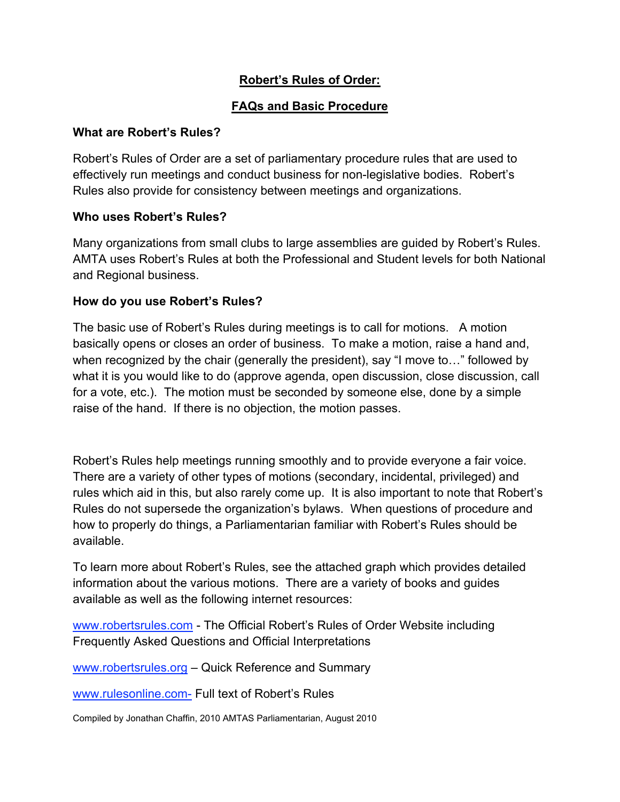## **Robert's Rules of Order:**

### **FAQs and Basic Procedure**

#### **What are Robert's Rules?**

Robert's Rules of Order are a set of parliamentary procedure rules that are used to effectively run meetings and conduct business for non-legislative bodies. Robert's Rules also provide for consistency between meetings and organizations.

#### **Who uses Robert's Rules?**

Many organizations from small clubs to large assemblies are guided by Robert's Rules. AMTA uses Robert's Rules at both the Professional and Student levels for both National and Regional business.

#### **How do you use Robert's Rules?**

The basic use of Robert's Rules during meetings is to call for motions. A motion basically opens or closes an order of business. To make a motion, raise a hand and, when recognized by the chair (generally the president), say "I move to…" followed by what it is you would like to do (approve agenda, open discussion, close discussion, call for a vote, etc.). The motion must be seconded by someone else, done by a simple raise of the hand. If there is no objection, the motion passes.

Robert's Rules help meetings running smoothly and to provide everyone a fair voice. There are a variety of other types of motions (secondary, incidental, privileged) and rules which aid in this, but also rarely come up. It is also important to note that Robert's Rules do not supersede the organization's bylaws. When questions of procedure and how to properly do things, a Parliamentarian familiar with Robert's Rules should be available.

To learn more about Robert's Rules, see the attached graph which provides detailed information about the various motions. There are a variety of books and guides available as well as the following internet resources:

www.robertsrules.com - The Official Robert's Rules of Order Website including Frequently Asked Questions and Official Interpretations

www.robertsrules.org – Quick Reference and Summary

www.rulesonline.com- Full text of Robert's Rules

Compiled by Jonathan Chaffin, 2010 AMTAS Parliamentarian, August 2010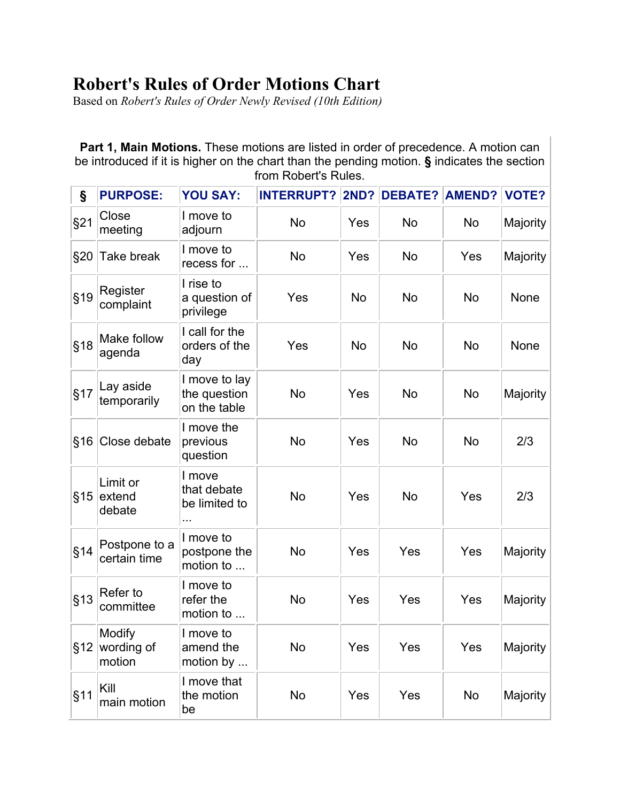# **Robert's Rules of Order Motions Chart**

Based on *Robert's Rules of Order Newly Revised (10th Edition)*

**Part 1, Main Motions.** These motions are listed in order of precedence. A motion can be introduced if it is higher on the chart than the pending motion. **§** indicates the section from Robert's Rules.

| §   | <b>PURPOSE:</b>                | <b>YOU SAY:</b>                                    | <b>INTERRUPT?</b> | <b>2ND?</b> | <b>DEBATE? AMEND?</b> |           | <b>VOTE?</b> |
|-----|--------------------------------|----------------------------------------------------|-------------------|-------------|-----------------------|-----------|--------------|
| §21 | Close<br>meeting               | I move to<br>adjourn                               | <b>No</b>         | Yes         | <b>No</b>             | <b>No</b> | Majority     |
| §20 | Take break                     | I move to<br>recess for                            | <b>No</b>         | Yes         | <b>No</b>             | Yes       | Majority     |
| §19 | Register<br>complaint          | I rise to<br>a question of<br>privilege            | Yes               | <b>No</b>   | <b>No</b>             | <b>No</b> | None         |
| §18 | Make follow<br>agenda          | I call for the<br>orders of the<br>day             | Yes               | <b>No</b>   | <b>No</b>             | <b>No</b> | None         |
| §17 | Lay aside<br>temporarily       | I move to lay<br>the question<br>on the table      | No                | Yes         | <b>No</b>             | No        | Majority     |
| §16 | Close debate                   | I move the<br>previous<br>question                 | <b>No</b>         | Yes         | <b>No</b>             | <b>No</b> | 2/3          |
| §15 | Limit or<br>extend<br>debate   | I move<br>that debate<br>be limited to<br>$\cdots$ | No                | Yes         | <b>No</b>             | Yes       | 2/3          |
| §14 | Postpone to a<br>certain time  | I move to<br>postpone the<br>motion to             | <b>No</b>         | Yes         | Yes                   | Yes       | Majority     |
| §13 | Refer to<br>committee          | I move to<br>refer the<br>motion to                | No                | Yes         | Yes                   | Yes       | Majority     |
| §12 | Modify<br>wording of<br>motion | I move to<br>amend the<br>motion by                | <b>No</b>         | Yes         | Yes                   | Yes       | Majority     |
| §11 | Kill<br>main motion            | I move that<br>the motion<br>be                    | <b>No</b>         | Yes         | Yes                   | No        | Majority     |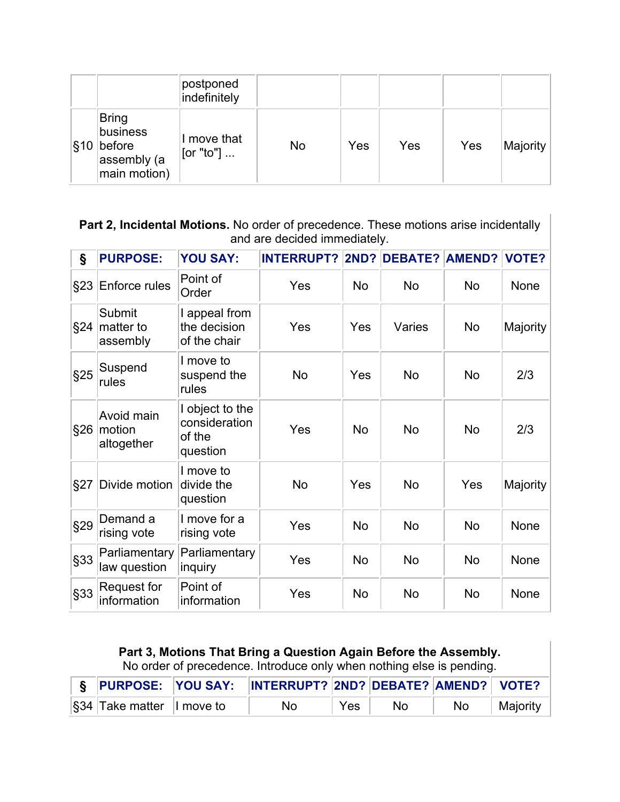|          |                                                                   | postponed<br>indefinitely |     |     |     |     |          |
|----------|-------------------------------------------------------------------|---------------------------|-----|-----|-----|-----|----------|
| $ \S 10$ | <b>Bring</b><br>business<br>before<br>assembly (a<br>main motion) | I move that<br>[[or "to"] | No. | Yes | Yes | Yes | Majority |

**Part 2, Incidental Motions.** No order of precedence. These motions arise incidentally and are decided immediately.

| Ş   | <b>PURPOSE:</b>                    | <b>YOU SAY:</b>                                        | <b>INTERRUPT?</b> |           | <b>2ND? DEBATE? AMEND?</b> |           | <b>VOTE?</b> |
|-----|------------------------------------|--------------------------------------------------------|-------------------|-----------|----------------------------|-----------|--------------|
| §23 | <b>Enforce rules</b>               | Point of<br>Order                                      | Yes               | <b>No</b> | <b>No</b>                  | <b>No</b> | None         |
| §24 | Submit<br>matter to<br>assembly    | I appeal from<br>the decision<br>of the chair          | Yes               | Yes       | Varies                     | <b>No</b> | Majority     |
| §25 | Suspend<br>rules                   | I move to<br>suspend the<br>rules                      | <b>No</b>         | Yes       | <b>No</b>                  | <b>No</b> | 2/3          |
| §26 | Avoid main<br>motion<br>altogether | I object to the<br>consideration<br>of the<br>question | Yes               | <b>No</b> | <b>No</b>                  | <b>No</b> | 2/3          |
| §27 | Divide motion                      | I move to<br>divide the<br>question                    | <b>No</b>         | Yes       | <b>No</b>                  | Yes       | Majority     |
| §29 | Demand a<br>rising vote            | I move for a<br>rising vote                            | Yes               | <b>No</b> | <b>No</b>                  | <b>No</b> | None         |
| §33 | Parliamentary<br>law question      | Parliamentary<br>inquiry                               | Yes               | <b>No</b> | <b>No</b>                  | <b>No</b> | None         |
| §33 | Request for<br>information         | Point of<br>information                                | Yes               | <b>No</b> | <b>No</b>                  | <b>No</b> | None         |

**Part 3, Motions That Bring a Question Again Before the Assembly.** No order of precedence. Introduce only when nothing else is pending.

|                                     | S PURPOSE: YOU SAY: INTERRUPT? 2ND? DEBATE? AMEND? VOTE? |     |                |    |          |
|-------------------------------------|----------------------------------------------------------|-----|----------------|----|----------|
| $\sqrt{\$34}$ Take matter   move to | No.                                                      | Yes | N <sub>o</sub> | No | Majority |